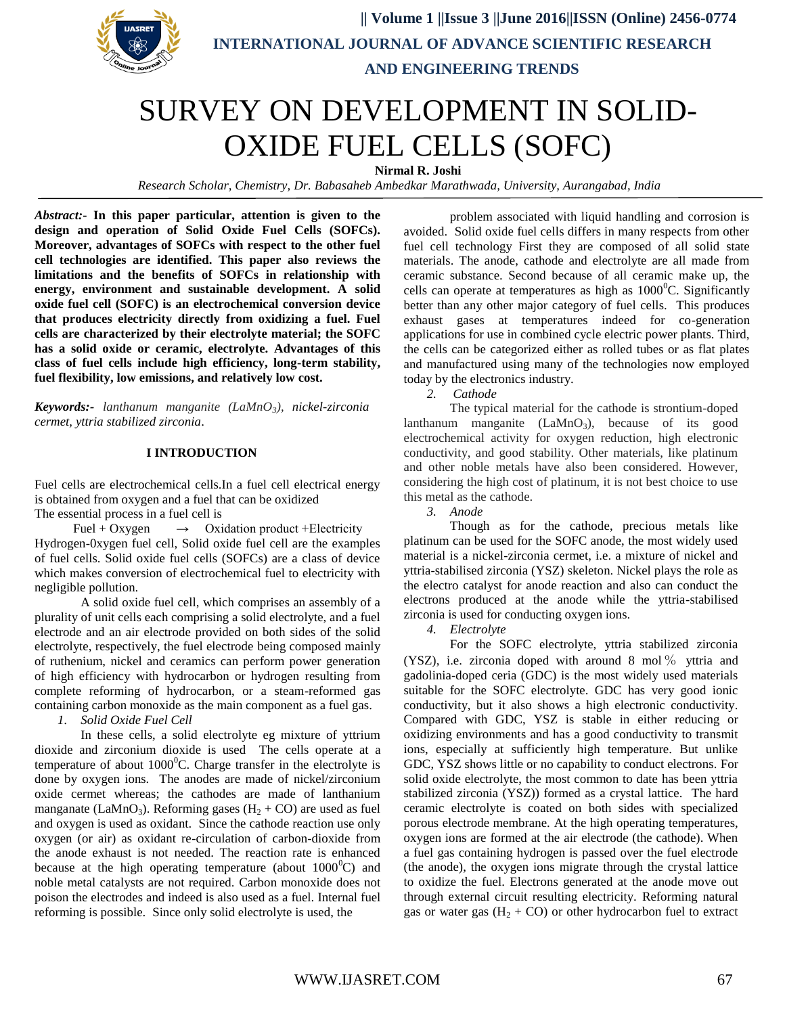

 **|| Volume 1 ||Issue 3 ||June 2016||ISSN (Online) 2456-0774 INTERNATIONAL JOURNAL OF ADVANCE SCIENTIFIC RESEARCH AND ENGINEERING TRENDS**

# SURVEY ON DEVELOPMENT IN SOLID-OXIDE FUEL CELLS (SOFC)

**Nirmal R. Joshi**

 *Research Scholar, Chemistry, Dr. Babasaheb Ambedkar Marathwada, University, Aurangabad, India*

*Abstract:***- In this paper particular, attention is given to the design and operation of Solid Oxide Fuel Cells (SOFCs). Moreover, advantages of SOFCs with respect to the other fuel cell technologies are identified. This paper also reviews the limitations and the benefits of SOFCs in relationship with energy, environment and sustainable development. A solid oxide fuel cell (SOFC) is an electrochemical conversion device that produces electricity directly from oxidizing a fuel. Fuel cells are characterized by their electrolyte material; the SOFC has a solid oxide or ceramic, electrolyte. Advantages of this class of fuel cells include high efficiency, long-term stability, fuel flexibility, low emissions, and relatively low cost.**

*Keywords:- lanthanum manganite (LaMnO3), nickel-zirconia cermet, yttria stabilized zirconia*.

### **I INTRODUCTION**

Fuel cells are electrochemical cells.In a fuel cell electrical energy is obtained from oxygen and a fuel that can be oxidized

The essential process in a fuel cell is

Fuel + Oxygen  $\rightarrow$  Oxidation product + Electricity Hydrogen-0xygen fuel cell, Solid oxide fuel cell are the examples of fuel cells. Solid oxide fuel cells (SOFCs) are a class of device which makes conversion of electrochemical fuel to electricity with negligible pollution.

A solid oxide fuel cell, which comprises an assembly of a plurality of unit cells each comprising a solid electrolyte, and a fuel electrode and an air electrode provided on both sides of the solid electrolyte, respectively, the fuel electrode being composed mainly of ruthenium, nickel and ceramics can perform power generation of high efficiency with hydrocarbon or hydrogen resulting from complete reforming of hydrocarbon, or a steam-reformed gas containing carbon monoxide as the main component as a fuel gas.

*1. Solid Oxide Fuel Cell*

In these cells, a solid electrolyte eg mixture of yttrium dioxide and zirconium dioxide is used The cells operate at a temperature of about  $1000^{\circ}$ C. Charge transfer in the electrolyte is done by oxygen ions. The anodes are made of nickel/zirconium oxide cermet whereas; the cathodes are made of lanthanium manganate (LaMnO<sub>3</sub>). Reforming gases ( $H_2 + CO$ ) are used as fuel and oxygen is used as oxidant. Since the cathode reaction use only oxygen (or air) as oxidant re-circulation of carbon-dioxide from the anode exhaust is not needed. The reaction rate is enhanced because at the high operating temperature (about  $1000^{\circ}$ C) and noble metal catalysts are not required. Carbon monoxide does not poison the electrodes and indeed is also used as a fuel. Internal fuel reforming is possible. Since only solid electrolyte is used, the

problem associated with liquid handling and corrosion is avoided. Solid oxide fuel cells differs in many respects from other fuel cell technology First they are composed of all solid state materials. The anode, cathode and electrolyte are all made from ceramic substance. Second because of all ceramic make up, the cells can operate at temperatures as high as  $1000^{\circ}$ C. Significantly better than any other major category of fuel cells. This produces exhaust gases at temperatures indeed for co-generation applications for use in combined cycle electric power plants. Third, the cells can be categorized either as rolled tubes or as flat plates and manufactured using many of the technologies now employed today by the electronics industry.

*2. Cathode*

The typical material for the cathode is strontium-doped lanthanum manganite  $(LaMnO<sub>3</sub>)$ , because of its good electrochemical activity for oxygen reduction, high electronic conductivity, and good stability. Other materials, like platinum and other noble metals have also been considered. However, considering the high cost of platinum, it is not best choice to use this metal as the cathode.

*3. Anode*

Though as for the cathode, precious metals like platinum can be used for the SOFC anode, the most widely used material is a nickel-zirconia cermet, i.e. a mixture of nickel and yttria-stabilised zirconia (YSZ) skeleton. Nickel plays the role as the electro catalyst for anode reaction and also can conduct the electrons produced at the anode while the yttria-stabilised zirconia is used for conducting oxygen ions.

*4. Electrolyte*

For the SOFC electrolyte, yttria stabilized zirconia (YSZ), i.e. zirconia doped with around 8 mol % yttria and gadolinia-doped ceria (GDC) is the most widely used materials suitable for the SOFC electrolyte. GDC has very good ionic conductivity, but it also shows a high electronic conductivity. Compared with GDC, YSZ is stable in either reducing or oxidizing environments and has a good conductivity to transmit ions, especially at sufficiently high temperature. But unlike GDC, YSZ shows little or no capability to conduct electrons. For solid oxide electrolyte, the most common to date has been yttria stabilized zirconia (YSZ)) formed as a crystal lattice. The hard ceramic electrolyte is coated on both sides with specialized porous electrode membrane. At the high operating temperatures, oxygen ions are formed at the air electrode (the cathode). When a fuel gas containing hydrogen is passed over the fuel electrode (the anode), the oxygen ions migrate through the crystal lattice to oxidize the fuel. Electrons generated at the anode move out through external circuit resulting electricity. Reforming natural gas or water gas  $(H_2 + CO)$  or other hydrocarbon fuel to extract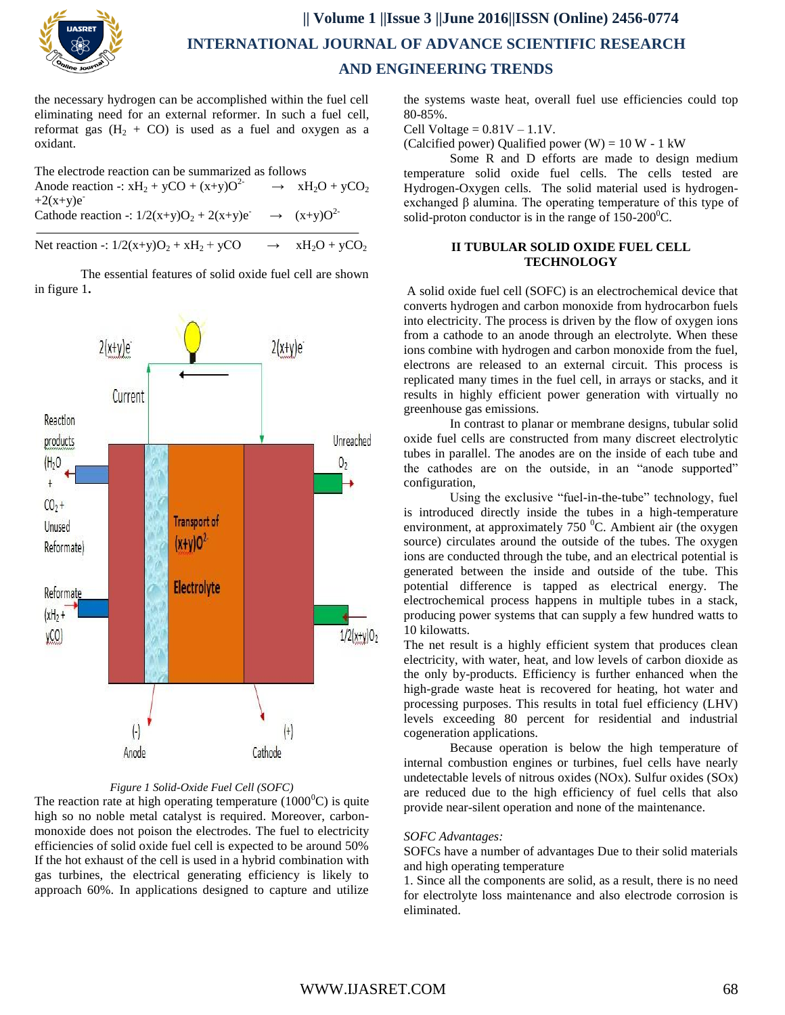

# **|| Volume 1 ||Issue 3 ||June 2016||ISSN (Online) 2456-0774 INTERNATIONAL JOURNAL OF ADVANCE SCIENTIFIC RESEARCH AND ENGINEERING TRENDS**

the necessary hydrogen can be accomplished within the fuel cell eliminating need for an external reformer. In such a fuel cell, reformat gas  $(H_2 + CO)$  is used as a fuel and oxygen as a oxidant.

The electrode reaction can be summarized as follows

Anode reaction -:  $xH_2 + yCO + (x+y)O^2$  $xH_2O + yCO_2$  $+2(x+y)e^{-}$ 

Cathode reaction -:  $1/2(x+y)O_2 + 2(x+y)e^{-}$  $\rightarrow$   $(x+y)O^{2}$ 

Net reaction -:  $1/2(x+y)O_2 + xH_2 + yCO \rightarrow xH_2O + yCO$ 

The essential features of solid oxide fuel cell are shown in figure 1**.**



### *Figure 1 Solid-Oxide Fuel Cell (SOFC)*

The reaction rate at high operating temperature  $(1000^{\circ}C)$  is quite high so no noble metal catalyst is required. Moreover, carbonmonoxide does not poison the electrodes. The fuel to electricity efficiencies of solid oxide fuel cell is expected to be around 50% If the hot exhaust of the cell is used in a hybrid combination with gas turbines, the electrical generating efficiency is likely to approach 60%. In applications designed to capture and utilize

the systems waste heat, overall fuel use efficiencies could top 80-85%.

Cell Voltage  $= 0.81V - 1.1V$ .

(Calcified power) Qualified power (W) =  $10 W - 1 kW$ 

Some R and D efforts are made to design medium temperature solid oxide fuel cells. The cells tested are Hydrogen-Oxygen cells. The solid material used is hydrogenexchanged β alumina. The operating temperature of this type of solid-proton conductor is in the range of  $150-200^{\circ}$ C.

### **II TUBULAR SOLID OXIDE FUEL CELL TECHNOLOGY**

A solid oxide fuel cell (SOFC) is an electrochemical device that converts hydrogen and carbon monoxide from hydrocarbon fuels into electricity. The process is driven by the flow of oxygen ions from a cathode to an anode through an electrolyte. When these ions combine with hydrogen and carbon monoxide from the fuel, electrons are released to an external circuit. This process is replicated many times in the fuel cell, in arrays or stacks, and it results in highly efficient power generation with virtually no greenhouse gas emissions.

In contrast to planar or membrane designs, tubular solid oxide fuel cells are constructed from many discreet electrolytic tubes in parallel. The anodes are on the inside of each tube and the cathodes are on the outside, in an "anode supported" configuration,

Using the exclusive "fuel-in-the-tube" technology, fuel is introduced directly inside the tubes in a high-temperature environment, at approximately  $750<sup>0</sup>C$ . Ambient air (the oxygen source) circulates around the outside of the tubes. The oxygen ions are conducted through the tube, and an electrical potential is generated between the inside and outside of the tube. This potential difference is tapped as electrical energy. The electrochemical process happens in multiple tubes in a stack, producing power systems that can supply a few hundred watts to 10 kilowatts.

The net result is a highly efficient system that produces clean electricity, with water, heat, and low levels of carbon dioxide as the only by-products. Efficiency is further enhanced when the high-grade waste heat is recovered for heating, hot water and processing purposes. This results in total fuel efficiency (LHV) levels exceeding 80 percent for residential and industrial cogeneration applications.

Because operation is below the high temperature of internal combustion engines or turbines, fuel cells have nearly undetectable levels of nitrous oxides (NOx). Sulfur oxides (SOx) are reduced due to the high efficiency of fuel cells that also provide near-silent operation and none of the maintenance.

### *SOFC Advantages:*

SOFCs have a number of advantages Due to their solid materials and high operating temperature

1. Since all the components are solid, as a result, there is no need for electrolyte loss maintenance and also electrode corrosion is eliminated.